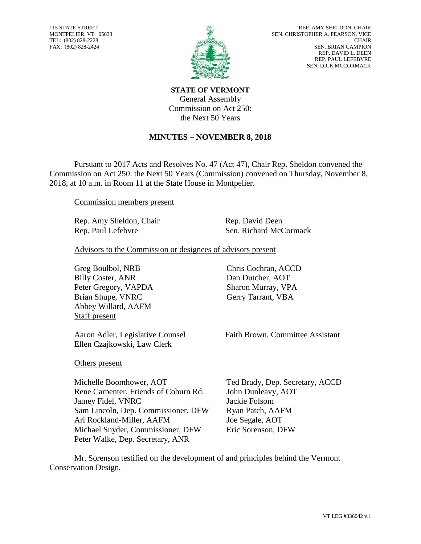115 STATE STREET MONTPELIER, VT 05633 TEL: (802) 828-2228 FAX: (802) 828-2424



**STATE OF VERMONT** General Assembly Commission on Act 250: the Next 50 Years

## **MINUTES – NOVEMBER 8, 2018**

Pursuant to 2017 Acts and Resolves No. 47 (Act 47), Chair Rep. Sheldon convened the Commission on Act 250: the Next 50 Years (Commission) convened on Thursday, November 8, 2018, at 10 a.m. in Room 11 at the State House in Montpelier.

Commission members present

Rep. Amy Sheldon, Chair Rep. David Deen

Rep. Paul Lefebvre Sen. Richard McCormack

Advisors to the Commission or designees of advisors present

Greg Boulbol, NRB Chris Cochran, ACCD Billy Coster, ANR Peter Gregory, VAPDA Brian Shupe, VNRC Abbey Willard, AAFM Staff present

Ellen Czajkowski, Law Clerk

Dan Dutcher, AOT Sharon Murray, VPA Gerry Tarrant, VBA

Aaron Adler, Legislative Counsel Faith Brown, Committee Assistant

Others present

Michelle Boomhower, AOT Ted Brady, Dep. Secretary, ACCD Rene Carpenter, Friends of Coburn Rd. John Dunleavy, AOT Jamey Fidel, VNRC Jackie Folsom Sam Lincoln, Dep. Commissioner, DFW Ryan Patch, AAFM Ari Rockland-Miller, AAFM Joe Segale, AOT Michael Snyder, Commissioner, DFW Eric Sorenson, DFW Peter Walke, Dep. Secretary, ANR

Mr. Sorenson testified on the development of and principles behind the Vermont Conservation Design.